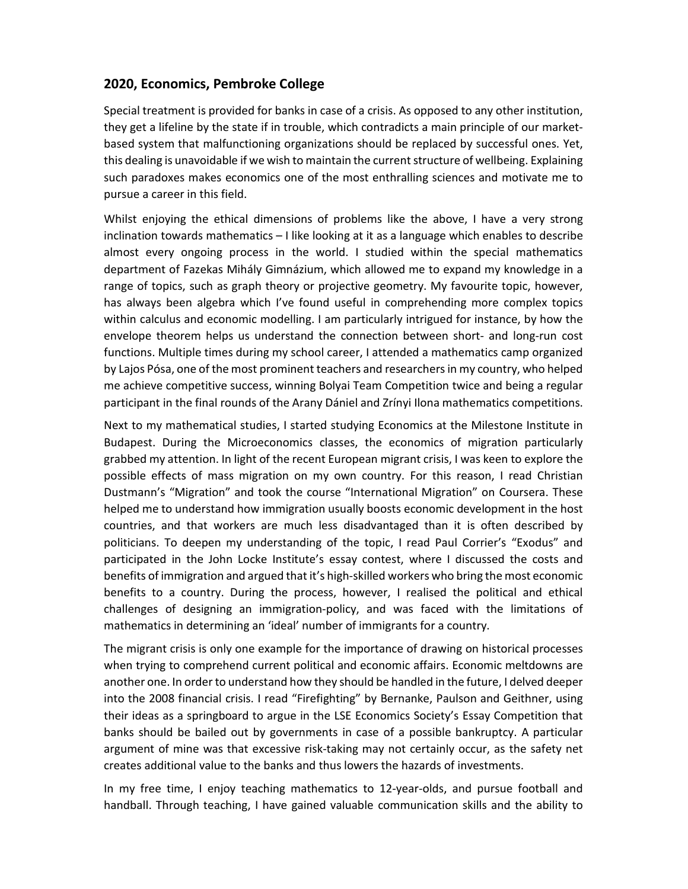## **2020, Economics, Pembroke College**

Special treatment is provided for banks in case of a crisis. As opposed to any other institution, they get a lifeline by the state if in trouble, which contradicts a main principle of our marketbased system that malfunctioning organizations should be replaced by successful ones. Yet, this dealing is unavoidable if we wish to maintain the current structure of wellbeing. Explaining such paradoxes makes economics one of the most enthralling sciences and motivate me to pursue a career in this field.

Whilst enjoying the ethical dimensions of problems like the above, I have a very strong inclination towards mathematics – I like looking at it as a language which enables to describe almost every ongoing process in the world. I studied within the special mathematics department of Fazekas Mihály Gimnázium, which allowed me to expand my knowledge in a range of topics, such as graph theory or projective geometry. My favourite topic, however, has always been algebra which I've found useful in comprehending more complex topics within calculus and economic modelling. I am particularly intrigued for instance, by how the envelope theorem helps us understand the connection between short- and long-run cost functions. Multiple times during my school career, I attended a mathematics camp organized by Lajos Pósa, one of the most prominent teachers and researchers in my country, who helped me achieve competitive success, winning Bolyai Team Competition twice and being a regular participant in the final rounds of the Arany Dániel and Zrínyi Ilona mathematics competitions.

Next to my mathematical studies, I started studying Economics at the Milestone Institute in Budapest. During the Microeconomics classes, the economics of migration particularly grabbed my attention. In light of the recent European migrant crisis, I was keen to explore the possible effects of mass migration on my own country. For this reason, I read Christian Dustmann's "Migration" and took the course "International Migration" on Coursera. These helped me to understand how immigration usually boosts economic development in the host countries, and that workers are much less disadvantaged than it is often described by politicians. To deepen my understanding of the topic, I read Paul Corrier's "Exodus" and participated in the John Locke Institute's essay contest, where I discussed the costs and benefits of immigration and argued that it's high-skilled workers who bring the most economic benefits to a country. During the process, however, I realised the political and ethical challenges of designing an immigration-policy, and was faced with the limitations of mathematics in determining an 'ideal' number of immigrants for a country.

The migrant crisis is only one example for the importance of drawing on historical processes when trying to comprehend current political and economic affairs. Economic meltdowns are another one. In order to understand how they should be handled in the future, I delved deeper into the 2008 financial crisis. I read "Firefighting" by Bernanke, Paulson and Geithner, using their ideas as a springboard to argue in the LSE Economics Society's Essay Competition that banks should be bailed out by governments in case of a possible bankruptcy. A particular argument of mine was that excessive risk-taking may not certainly occur, as the safety net creates additional value to the banks and thus lowers the hazards of investments.

In my free time, I enjoy teaching mathematics to 12-year-olds, and pursue football and handball. Through teaching, I have gained valuable communication skills and the ability to